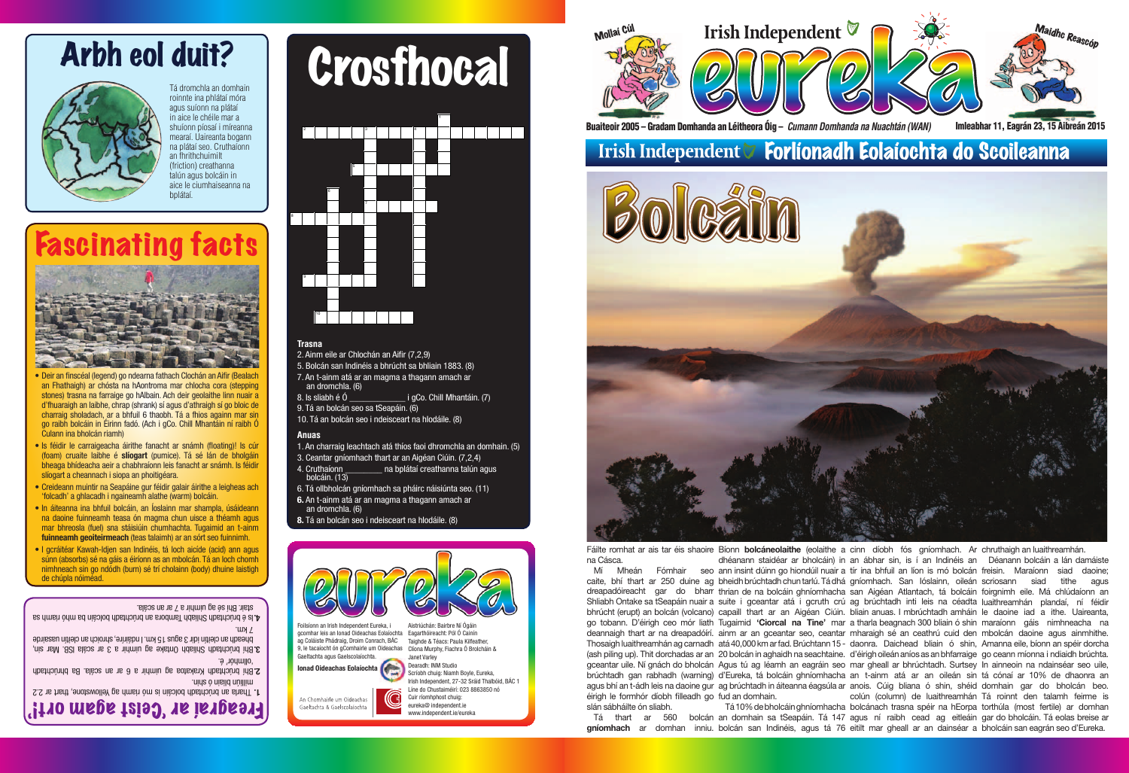## Forlíonadh Eolaíochta do Scoileanna

Buaiteoir 2005 – Gradam Domhanda an Léitheora Óig – *Cumann Domhanda na Nuachtán (WAN)* Imleabhar 11, Eagrán 23, 15 Aibreán 2015

Foilsíonn an Irish Independent Eureka, i gcomhar leis an Ionad Oideachas Eolaíochta Eagarthóireacht: Pól Ó Cainín ag Coláiste Phádraig, Droim Conrach, BÁC Taighde & Téacs: Paula Kilfeather, 9, le tacaíocht ón gComhairle um Oideachas Clíona Murphy, Fiachra Ó Brolcháin & Gaeltachta agus Gaelscolaíochta. Aistriúchán: Bairbre Ní Ógáin





Irish Independent, 27-32 Sráid Thalbóid, BÁC 1 Líne do Chustaiméirí: 023 8863850 nó www.independent.ie/eureka

**Ionad Oideachas Eolaíochta**

na Cásca.

Fáilte romhat ar ais tar éis shaoire Bíonn **bolcáneolaithe** (eolaithe a cinn díobh fós gníomhach. Ar chruthaigh an luaithreamhán. Mí Mheán Fómhair seo ann insint dúinn go hiondúil nuair a tír ina bhfuil an líon is mó bolcán freisin. Maraíonn siad daoine; caite, bhí thart ar 250 duine ag bheidh brúchtadh chun tarlú. Tá dhá gníomhach. San lóslainn, oileán scriosann siad tithe agus dreapadóireacht gar do bharr thrian de na bolcáin ghníomhacha san Aigéan Atlantach, tá bolcáin foirgnimh eile. Má chlúdaíonn an Shliabh Ontake sa tSeapáin nuair a suite i gceantar atá i gcruth crú ag brúchtadh inti leis na céadta luaithreamhán plandaí, ní féidir bhrúcht (erupt) an bolcán (volcano) capaill thart ar an Aigéan Ciúin. bliain anuas. I mbrúchtadh amháin le daoine iad a ithe. Uaireanta, go tobann. D'éirigh ceo mór liath Tugaimid '**Ciorcal na Tine'** mar a tharla beagnach 300 bliain ó shin maraíonn gáis nimhneacha na deannaigh thart ar na dreapadóírí. ainm ar an gceantar seo, ceantar mharaigh sé an ceathrú cuid den mbolcán daoine agus ainmhithe. Thosaigh luaithreamhán ag carnadh atá 40,000 km ar fad. Brúchtann 15 - daonra. Daichead bliain ó shin, Amanna eile, bíonn an spéir dorcha (ash piling up). Thit dorchadas ar an 20 bolcán in aghaidh na seachtaine. d'éirigh oileán aníos as an bhfarraige go ceann míonna i ndiaidh brúchta. gceantar uile. Ní gnách do bholcán Agus tú ag léamh an eagráin seo mar gheall ar bhrúchtadh. Surtsey In ainneoin na ndainséar seo uile, brúchtadh gan rabhadh (warning) d'Eureka, tá bolcáin ghníomhacha an t-ainm atá ar an oileán sin tá cónaí ar 10% de dhaonra an agus bhí an t-ádh leis na daoine gur ag brúchtadh in áiteanna éagsúla ar anois. Cúig bliana ó shin, shéid domhain gar do bholcán beo. éirigh le formhór díobh filleadh go fud an domhain. slán sábháilte ón sliabh. Tá thart ar 560 bolcán an domhain sa tSeapáin. Tá 147 agus ní raibh cead ag eitleáin gar do bholcáin. Tá eolas breise ar **gníomhach** ar domhan inniu. bolcán san Indinéis, agus tá 76 eitilt mar gheall ar an dainséar a bholcáin san eagrán seo d'Eureka. dhéanann staidéar ar bholcáin) in an ábhar sin, is í an Indinéis an Déanann bolcáin a lán damáiste Tá 10% de bholcáin ghníomhacha bolcánach trasna spéir na hEorpa torthúla (most fertile) ar domhan colún (column) de luaithreamhán Tá roinnt den talamh feirme is

An Chomhairle um Oideachas Gaeltachta & Gaelscolaíochta



Tá dromchla an domhain roinnte ina phlátaí móra agus suíonn na plátaí in aice le chéile mar a shuíonn píosaí i míreanna mearaí. Uaireanta bogann na plátaí seo. Cruthaíonn an fhrithchuimilt (friction) creathanna talún agus bolcáin in aice le ciumhaiseanna na hnlátaí

- **Deir an finscéal (legend) go ndearna fathach Clochán an Aifir (Bealach** an Fhathaigh) ar chósta na hAontroma mar chlocha cora (stepping stones) trasna na farraige go hAlbain. Ach deir geolaithe linn nuair a d'fhuaraigh an laibhe, chrap (shrank) sí agus d'athraigh sí go bloic de charraig sholadach, ar a bhfuil 6 thaobh. Tá a fhios againn mar sin go raibh bolcáin in Éirinn fadó. (Ach i gCo. Chill Mhantáin ní raibh Ó Culann ina bholcán riamh)
- Is féidir le carraigeacha áirithe fanacht ar snámh (floating)! Is cúr (foam) cruaite laibhe é **slíogart** (pumice). Tá sé lán de bholgáin bheaga bhídeacha aeir a chabhraíonn leis fanacht ar snámh. Is féidir slíogart a cheannach i siopa an phoitigéara.
- Creideann muintir na Seapáine gur féidir galair áirithe a leigheas ach 'folcadh' a ghlacadh i ngaineamh alathe (warm) bolcáin.
- In áiteanna ina bhfuil bolcáin, an Íoslainn mar shampla, úsáideann na daoine fuinneamh teasa ón magma chun uisce a théamh agus mar bhreosla (fuel) sna stáisiúin chumhachta. Tugaimid an t-ainm **fuinneamh geoiteirmeach** (teas talaimh) ar an sórt seo fuinnimh.
- I gcráitéar Kawah-Idjen san Indinéis, tá loch aicíde (acid) ann agus súnn (absorbs) sé na gáis a éiríonn as an mbolcán. Tá an loch chomh nimhneach sin go ndódh (burn) sé trí cholainn (body) dhuine laistigh de chúpla nóiméad.

Tharla an brúchtadh bolcáin is mó riamh ag Yellowstone, thart ar 2.2 **1.** milliún bliain ó shin.

Bhí brúchtadh Shliabh Ontake ag uimhir a 3 ar scála ISB. Mar sin, **3.** bheadh an cleitín idir 3 agus 15 km. I ndáiríre, shroich an cleitín uasairde  $V$  km.



Arbh eol duit? Crosfhocal

### **Trasna**

- 2. Ainm eile ar Chlochán an Aifir (7,2,9)
- 5. Bolcán san Indinéis a bhrúcht sa bhliain 1883. (8)
- 7. An t-ainm atá ar an magma a thagann amach ar an dromchla. (6)
- 8. Is sliabh é Ó  $\qquad \qquad$  i gCo. Chill Mhantáin. (7)
- 9. Tá an bolcán seo sa tSeapáin. (6)
- 10. Tá an bolcán seo i ndeisceart na hIodáile. (8)

### **Anuas**

- 1. An charraig leachtach atá thíos faoi dhromchla an domhain. (5)
- 3. Ceantar gníomhach thart ar an Aigéan Ciúin. (7,2,4)
- 4. Cruthaíonn ann a bplátaí creathanna talún agus bolcáin. (13)
- 6. Tá ollbholcán gníomhach sa pháirc náisiúnta seo. (11)
- **6.** An t-ainm atá ar an magma a thagann amach ar an dromchla. (6)
- **8.** Tá an bolcán seo i ndeisceart na hIodáile. (8)



# Fascinating facts



Freagraí ar 'Ceist agam ort!'

Bhí brúchtadh Krakatoa ag uimhir a 6 ar an scála. Ba bhrúchtadh **2.** 'ollmhór' é.

Is é brúchtadh Shliabh Tambora an brúchtadh bolcáin ba mhó riamh sa **4.** stair. Bhí sé ag uimhir a 7 ar an scála.